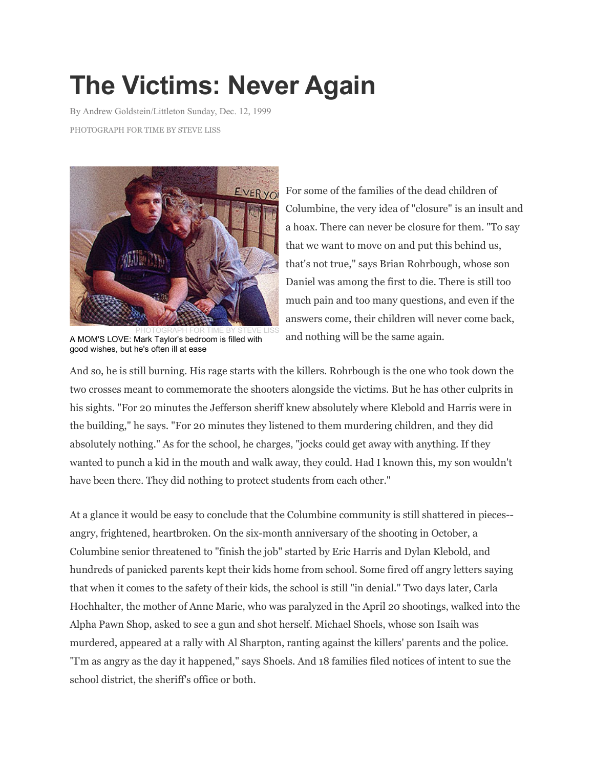## **The Victims: Never Again**

By Andrew Goldstein/Littleton Sunday, Dec. 12, 1999

PHOTOGRAPH FOR TIME BY STEVE LISS



PHOTOGRAPH FOR TIME BY STEVE LISS A MOM'S LOVE: Mark Taylor's bedroom is filled with good wishes, but he's often ill at ease

For some of the families of the dead children of Columbine, the very idea of "closure" is an insult and a hoax. There can never be closure for them. "To say that we want to move on and put this behind us, that's not true," says Brian Rohrbough, whose son Daniel was among the first to die. There is still too much pain and too many questions, and even if the answers come, their children will never come back, and nothing will be the same again.

And so, he is still burning. His rage starts with the killers. Rohrbough is the one who took down the two crosses meant to commemorate the shooters alongside the victims. But he has other culprits in his sights. "For 20 minutes the Jefferson sheriff knew absolutely where Klebold and Harris were in the building," he says. "For 20 minutes they listened to them murdering children, and they did absolutely nothing." As for the school, he charges, "jocks could get away with anything. If they wanted to punch a kid in the mouth and walk away, they could. Had I known this, my son wouldn't have been there. They did nothing to protect students from each other."

At a glance it would be easy to conclude that the Columbine community is still shattered in pieces- angry, frightened, heartbroken. On the six-month anniversary of the shooting in October, a Columbine senior threatened to "finish the job" started by Eric Harris and Dylan Klebold, and hundreds of panicked parents kept their kids home from school. Some fired off angry letters saying that when it comes to the safety of their kids, the school is still "in denial." Two days later, Carla Hochhalter, the mother of Anne Marie, who was paralyzed in the April 20 shootings, walked into the Alpha Pawn Shop, asked to see a gun and shot herself. Michael Shoels, whose son Isaih was murdered, appeared at a rally with Al Sharpton, ranting against the killers' parents and the police. "I'm as angry as the day it happened," says Shoels. And 18 families filed notices of intent to sue the school district, the sheriff's office or both.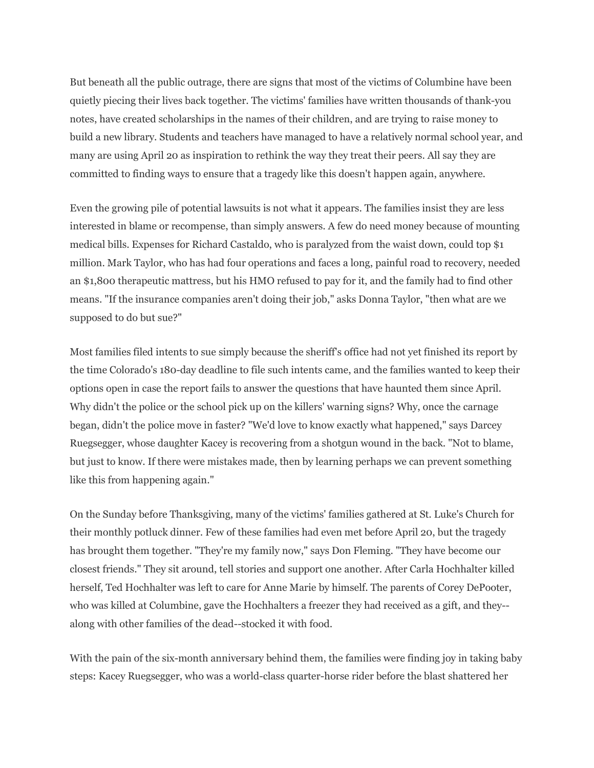But beneath all the public outrage, there are signs that most of the victims of Columbine have been quietly piecing their lives back together. The victims' families have written thousands of thank-you notes, have created scholarships in the names of their children, and are trying to raise money to build a new library. Students and teachers have managed to have a relatively normal school year, and many are using April 20 as inspiration to rethink the way they treat their peers. All say they are committed to finding ways to ensure that a tragedy like this doesn't happen again, anywhere.

Even the growing pile of potential lawsuits is not what it appears. The families insist they are less interested in blame or recompense, than simply answers. A few do need money because of mounting medical bills. Expenses for Richard Castaldo, who is paralyzed from the waist down, could top \$1 million. Mark Taylor, who has had four operations and faces a long, painful road to recovery, needed an \$1,800 therapeutic mattress, but his HMO refused to pay for it, and the family had to find other means. "If the insurance companies aren't doing their job," asks Donna Taylor, "then what are we supposed to do but sue?"

Most families filed intents to sue simply because the sheriff's office had not yet finished its report by the time Colorado's 180-day deadline to file such intents came, and the families wanted to keep their options open in case the report fails to answer the questions that have haunted them since April. Why didn't the police or the school pick up on the killers' warning signs? Why, once the carnage began, didn't the police move in faster? "We'd love to know exactly what happened," says Darcey Ruegsegger, whose daughter Kacey is recovering from a shotgun wound in the back. "Not to blame, but just to know. If there were mistakes made, then by learning perhaps we can prevent something like this from happening again."

On the Sunday before Thanksgiving, many of the victims' families gathered at St. Luke's Church for their monthly potluck dinner. Few of these families had even met before April 20, but the tragedy has brought them together. "They're my family now," says Don Fleming. "They have become our closest friends." They sit around, tell stories and support one another. After Carla Hochhalter killed herself, Ted Hochhalter was left to care for Anne Marie by himself. The parents of Corey DePooter, who was killed at Columbine, gave the Hochhalters a freezer they had received as a gift, and they- along with other families of the dead--stocked it with food.

With the pain of the six-month anniversary behind them, the families were finding joy in taking baby steps: Kacey Ruegsegger, who was a world-class quarter-horse rider before the blast shattered her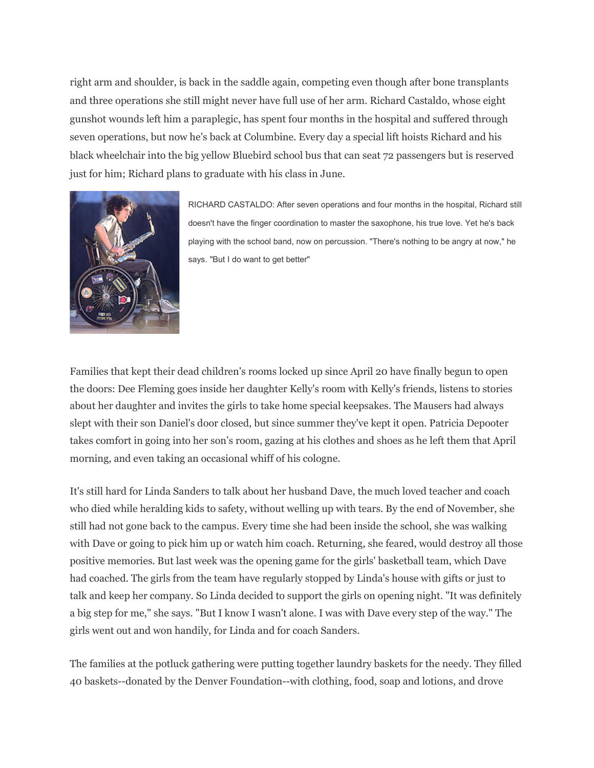right arm and shoulder, is back in the saddle again, competing even though after bone transplants and three operations she still might never have full use of her arm. Richard Castaldo, whose eight gunshot wounds left him a paraplegic, has spent four months in the hospital and suffered through seven operations, but now he's back at Columbine. Every day a special lift hoists Richard and his black wheelchair into the big yellow Bluebird school bus that can seat 72 passengers but is reserved just for him; Richard plans to graduate with his class in June.



RICHARD CASTALDO: After seven operations and four months in the hospital, Richard still doesn't have the finger coordination to master the saxophone, his true love. Yet he's back playing with the school band, now on percussion. "There's nothing to be angry at now," he says. "But I do want to get better"

Families that kept their dead children's rooms locked up since April 20 have finally begun to open the doors: Dee Fleming goes inside her daughter Kelly's room with Kelly's friends, listens to stories about her daughter and invites the girls to take home special keepsakes. The Mausers had always slept with their son Daniel's door closed, but since summer they've kept it open. Patricia Depooter takes comfort in going into her son's room, gazing at his clothes and shoes as he left them that April morning, and even taking an occasional whiff of his cologne.

It's still hard for Linda Sanders to talk about her husband Dave, the much loved teacher and coach who died while heralding kids to safety, without welling up with tears. By the end of November, she still had not gone back to the campus. Every time she had been inside the school, she was walking with Dave or going to pick him up or watch him coach. Returning, she feared, would destroy all those positive memories. But last week was the opening game for the girls' basketball team, which Dave had coached. The girls from the team have regularly stopped by Linda's house with gifts or just to talk and keep her company. So Linda decided to support the girls on opening night. "It was definitely a big step for me," she says. "But I know I wasn't alone. I was with Dave every step of the way." The girls went out and won handily, for Linda and for coach Sanders.

The families at the potluck gathering were putting together laundry baskets for the needy. They filled 40 baskets--donated by the Denver Foundation--with clothing, food, soap and lotions, and drove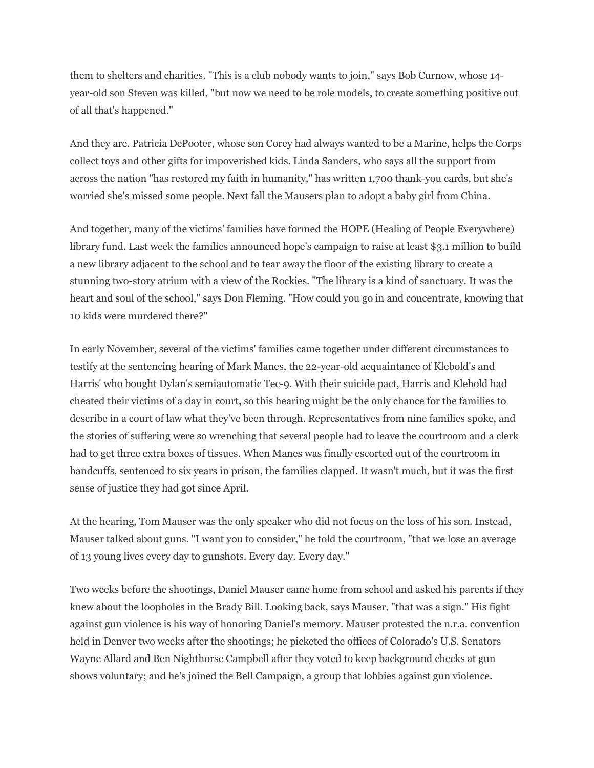them to shelters and charities. "This is a club nobody wants to join," says Bob Curnow, whose 14 year-old son Steven was killed, "but now we need to be role models, to create something positive out of all that's happened."

And they are. Patricia DePooter, whose son Corey had always wanted to be a Marine, helps the Corps collect toys and other gifts for impoverished kids. Linda Sanders, who says all the support from across the nation "has restored my faith in humanity," has written 1,700 thank-you cards, but she's worried she's missed some people. Next fall the Mausers plan to adopt a baby girl from China.

And together, many of the victims' families have formed the HOPE (Healing of People Everywhere) library fund. Last week the families announced hope's campaign to raise at least \$3.1 million to build a new library adjacent to the school and to tear away the floor of the existing library to create a stunning two-story atrium with a view of the Rockies. "The library is a kind of sanctuary. It was the heart and soul of the school," says Don Fleming. "How could you go in and concentrate, knowing that 10 kids were murdered there?"

In early November, several of the victims' families came together under different circumstances to testify at the sentencing hearing of Mark Manes, the 22-year-old acquaintance of Klebold's and Harris' who bought Dylan's semiautomatic Tec-9. With their suicide pact, Harris and Klebold had cheated their victims of a day in court, so this hearing might be the only chance for the families to describe in a court of law what they've been through. Representatives from nine families spoke, and the stories of suffering were so wrenching that several people had to leave the courtroom and a clerk had to get three extra boxes of tissues. When Manes was finally escorted out of the courtroom in handcuffs, sentenced to six years in prison, the families clapped. It wasn't much, but it was the first sense of justice they had got since April.

At the hearing, Tom Mauser was the only speaker who did not focus on the loss of his son. Instead, Mauser talked about guns. "I want you to consider," he told the courtroom, "that we lose an average of 13 young lives every day to gunshots. Every day. Every day."

Two weeks before the shootings, Daniel Mauser came home from school and asked his parents if they knew about the loopholes in the Brady Bill. Looking back, says Mauser, "that was a sign." His fight against gun violence is his way of honoring Daniel's memory. Mauser protested the n.r.a. convention held in Denver two weeks after the shootings; he picketed the offices of Colorado's U.S. Senators Wayne Allard and Ben Nighthorse Campbell after they voted to keep background checks at gun shows voluntary; and he's joined the Bell Campaign, a group that lobbies against gun violence.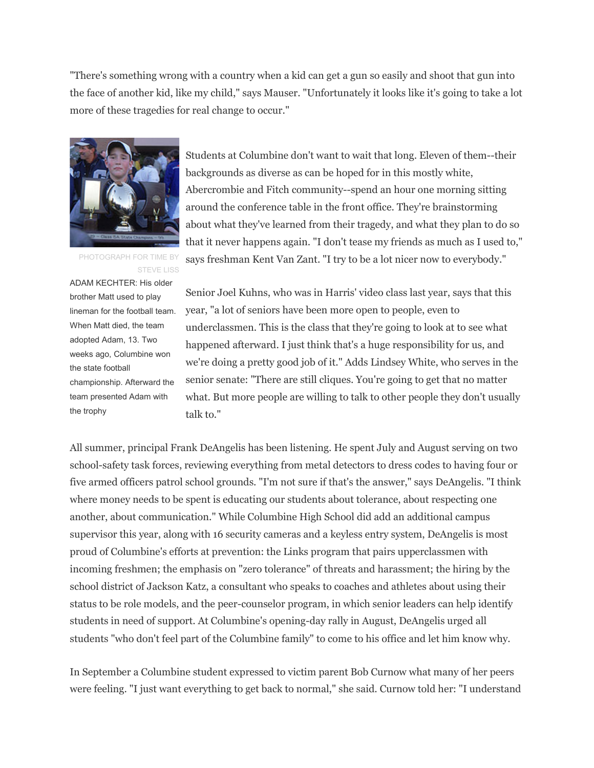"There's something wrong with a country when a kid can get a gun so easily and shoot that gun into the face of another kid, like my child," says Mauser. "Unfortunately it looks like it's going to take a lot more of these tragedies for real change to occur."



PHOTOGRAPH FOR TIME BY STEVE LISS

ADAM KECHTER: His older brother Matt used to play lineman for the football team. When Matt died, the team adopted Adam, 13. Two weeks ago, Columbine won the state football championship. Afterward the team presented Adam with the trophy

Students at Columbine don't want to wait that long. Eleven of them--their backgrounds as diverse as can be hoped for in this mostly white, Abercrombie and Fitch community--spend an hour one morning sitting around the conference table in the front office. They're brainstorming about what they've learned from their tragedy, and what they plan to do so that it never happens again. "I don't tease my friends as much as I used to," says freshman Kent Van Zant. "I try to be a lot nicer now to everybody."

Senior Joel Kuhns, who was in Harris' video class last year, says that this year, "a lot of seniors have been more open to people, even to underclassmen. This is the class that they're going to look at to see what happened afterward. I just think that's a huge responsibility for us, and we're doing a pretty good job of it." Adds Lindsey White, who serves in the senior senate: "There are still cliques. You're going to get that no matter what. But more people are willing to talk to other people they don't usually talk to."

All summer, principal Frank DeAngelis has been listening. He spent July and August serving on two school-safety task forces, reviewing everything from metal detectors to dress codes to having four or five armed officers patrol school grounds. "I'm not sure if that's the answer," says DeAngelis. "I think where money needs to be spent is educating our students about tolerance, about respecting one another, about communication." While Columbine High School did add an additional campus supervisor this year, along with 16 security cameras and a keyless entry system, DeAngelis is most proud of Columbine's efforts at prevention: the Links program that pairs upperclassmen with incoming freshmen; the emphasis on "zero tolerance" of threats and harassment; the hiring by the school district of Jackson Katz, a consultant who speaks to coaches and athletes about using their status to be role models, and the peer-counselor program, in which senior leaders can help identify students in need of support. At Columbine's opening-day rally in August, DeAngelis urged all students "who don't feel part of the Columbine family" to come to his office and let him know why.

In September a Columbine student expressed to victim parent Bob Curnow what many of her peers were feeling. "I just want everything to get back to normal," she said. Curnow told her: "I understand